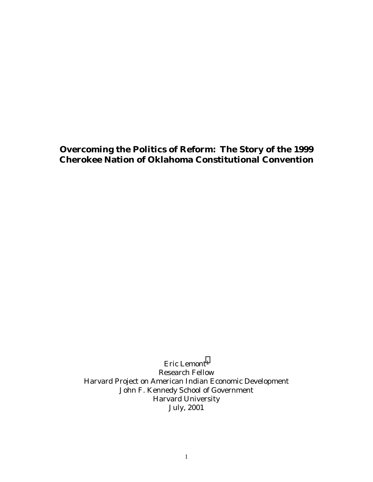# **Overcoming the Politics of Reform: The Story of the 1999 Cherokee Nation of Oklahoma Constitutional Convention**

Eric Lemont<sup>1</sup> Research Fellow Harvard Project on American Indian Economic Development John F. Kennedy School of Government Harvard University July, 2001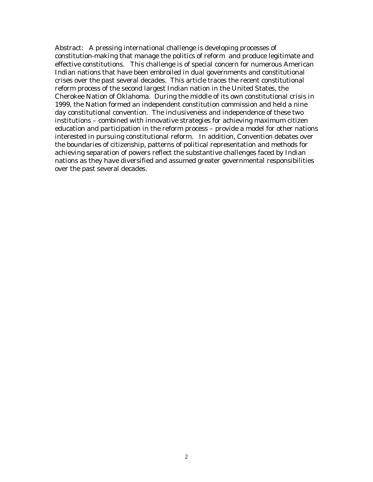Abstract: A pressing international challenge is developing processes of constitution-making that manage the politics of reform and produce legitimate and effective constitutions. This challenge is of special concern for numerous American Indian nations that have been embroiled in dual governments and constitutional crises over the past several decades. This article traces the recent constitutional reform process of the second largest Indian nation in the United States, the Cherokee Nation of Oklahoma. During the middle of its own constitutional crisis in 1999, the Nation formed an independent constitution commission and held a nine day constitutional convention. The inclusiveness and independence of these two institutions – combined with innovative strategies for achieving maximum citizen education and participation in the reform process – provide a model for other nations interested in pursuing constitutional reform. In addition, Convention debates over the boundaries of citizenship, patterns of political representation and methods for achieving separation of powers reflect the substantive challenges faced by Indian nations as they have diversified and assumed greater governmental responsibilities over the past several decades.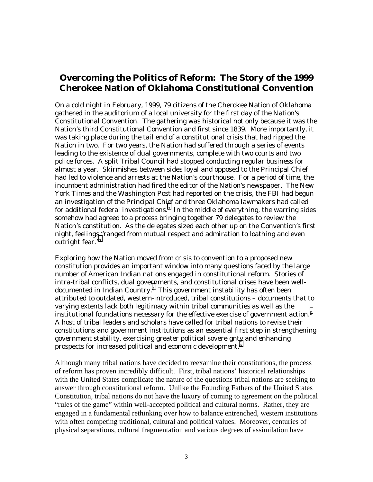# **Overcoming the Politics of Reform: The Story of the 1999 Cherokee Nation of Oklahoma Constitutional Convention**

On a cold night in February, 1999, 79 citizens of the Cherokee Nation of Oklahoma gathered in the auditorium of a local university for the first day of the Nation's Constitutional Convention. The gathering was historical not only because it was the Nation's third Constitutional Convention and first since 1839. More importantly, it was taking place during the tail end of a constitutional crisis that had ripped the Nation in two. For two years, the Nation had suffered through a series of events leading to the existence of dual governments, complete with two courts and two police forces. A split Tribal Council had stopped conducting regular business for almost a year. Skirmishes between sides loyal and opposed to the Principal Chief had led to violence and arrests at the Nation's courthouse. For a period of time, the incumbent administration had fired the editor of the Nation's newspaper. The New York Times and the Washington Post had reported on the crisis, the FBI had begun an investigation of the Principal Chief and three Oklahoma lawmakers had called for additional federal investigations[.2](#page-31-0) In the middle of everything, the warring sides somehow had agreed to a process bringing together 79 delegates to review the Nation's constitution. As the delegates sized each other up on the Convention's first night, feelings "ranged from mutual respect and admiration to loathing and even outright fear.["3](#page-31-0) 

Exploring how the Nation moved from crisis to convention to a proposed new constitution provides an important window into many questions faced by the large number of American Indian nations engaged in constitutional reform. Stories of intra-tribal conflicts, dual gove[rn](#page-31-0)ments, and constitutional crises have been welldocumented in Indian Country.4 This government instability has often been attributed to outdated, western-introduced, tribal constitutions – documents that to varying extents lack both legitimacy within tribal communities as well as the institutional foundations necessary for the effective exercise of government action.<sup>5</sup> A host of tribal leaders and scholars have called for tribal nations to revise their constitutions and government institutions as an essential first step in strengthening government stability, exercising greater political sovereignty and enhancing prospects for increased political and economic development.[6](#page-31-0) 

Although many tribal nations have decided to reexamine their constitutions, the process of reform has proven incredibly difficult. First, tribal nations' historical relationships with the United States complicate the nature of the questions tribal nations are seeking to answer through constitutional reform. Unlike the Founding Fathers of the United States Constitution, tribal nations do not have the luxury of coming to agreement on the political "rules of the game" within well-accepted political and cultural norms. Rather, they are engaged in a fundamental rethinking over how to balance entrenched, western institutions with often competing traditional, cultural and political values. Moreover, centuries of physical separations, cultural fragmentation and various degrees of assimilation have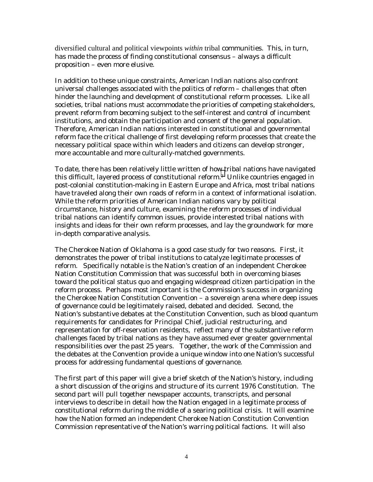diversified cultural and political viewpoints *within* tribal communities. This, in turn, has made the process of finding constitutional consensus – always a difficult proposition – even more elusive.

In addition to these unique constraints, American Indian nations also confront universal challenges associated with the politics of reform – challenges that often hinder the launching and development of constitutional reform processes. Like all societies, tribal nations must accommodate the priorities of competing stakeholders, prevent reform from becoming subject to the self-interest and control of incumbent institutions, and obtain the participation and consent of the general population. Therefore, American Indian nations interested in constitutional and governmental reform face the critical challenge of first developing reform processes that create the necessary political space within which leaders and citizens can develop stronger, more accountable and more culturally-matched governments.

To date, there has been relatively little written of ho[w t](#page-31-0)ribal nations have navigated this difficult, layered process of constitutional reform.<sup>7</sup> Unlike countries engaged in post-colonial constitution-making in Eastern Europe and Africa, most tribal nations have traveled along their own roads of reform in a context of informational isolation. While the reform priorities of American Indian nations vary by political circumstance, history and culture, examining the reform processes of individual tribal nations can identify common issues, provide interested tribal nations with insights and ideas for their own reform processes, and lay the groundwork for more in-depth comparative analysis.

The Cherokee Nation of Oklahoma is a good case study for two reasons. First, it demonstrates the power of tribal institutions to catalyze legitimate processes of reform. Specifically notable is the Nation's creation of an independent Cherokee Nation Constitution Commission that was successful both in overcoming biases toward the political status quo and engaging widespread citizen participation in the reform process. Perhaps most important is the Commission's success in organizing the Cherokee Nation Constitution Convention – a sovereign arena where deep issues of governance could be legitimately raised, debated and decided. Second, the Nation's substantive debates at the Constitution Convention, such as blood quantum requirements for candidates for Principal Chief, judicial restructuring, and representation for off-reservation residents, reflect many of the substantive reform challenges faced by tribal nations as they have assumed ever greater governmental responsibilities over the past 25 years. Together, the work of the Commission and the debates at the Convention provide a unique window into one Nation's successful *process* for addressing fundamental questions of governance.

The first part of this paper will give a brief sketch of the Nation's history, including a short discussion of the origins and structure of its current 1976 Constitution. The second part will pull together newspaper accounts, transcripts, and personal interviews to describe in detail how the Nation engaged in a legitimate process of constitutional reform during the middle of a searing political crisis. It will examine how the Nation formed an independent Cherokee Nation Constitution Convention Commission representative of the Nation's warring political factions. It will also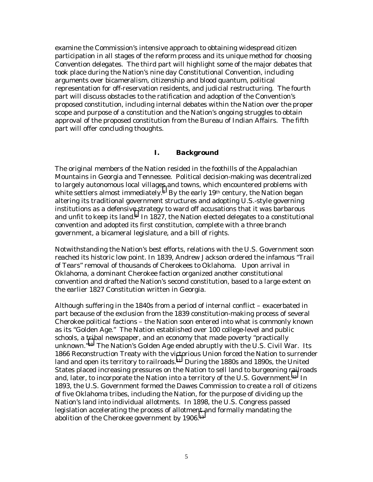examine the Commission's intensive approach to obtaining widespread citizen participation in all stages of the reform process and its unique method for choosing Convention delegates. The third part will highlight some of the major debates that took place during the Nation's nine day Constitutional Convention, including arguments over bicameralism, citizenship and blood quantum, political representation for off-reservation residents, and judicial restructuring. The fourth part will discuss obstacles to the ratification and adoption of the Convention's proposed constitution, including internal debates within the Nation over the proper scope and purpose of a constitution and the Nation's ongoing struggles to obtain approval of the proposed constitution from the Bureau of Indian Affairs. The fifth part will offer concluding thoughts.

#### *I. Background*

The original members of the Nation resided in the foothills of the Appalachian Mountains in Georgia and Tennessee. Political decision-making was decentralized to largely autonomous local village[s](#page-31-0) and towns, which encountered problems with white settlers almost immediately.<sup>8</sup> By the early 19<sup>th</sup> century, the Nation began altering its traditional government structures and adopting U.S.-style governing institutions as a defensive strategy to ward off accusations that it was barbarous and unfit to keep its land[.9](#page-31-0) In 1827, the Nation elected delegates to a constitutional convention and adopted its first constitution, complete with a three branch government, a bicameral legislature, and a bill of rights.

Notwithstanding the Nation's best efforts, relations with the U.S. Government soon reached its historic low point. In 1839, Andrew Jackson ordered the infamous "Trail of Tears" removal of thousands of Cherokees to Oklahoma. Upon arrival in Oklahoma, a dominant Cherokee faction organized another constitutional convention and drafted the Nation's second constitution, based to a large extent on the earlier 1827 Constitution written in Georgia.

Although suffering in the 1840s from a period of internal conflict – exacerbated in part because of the exclusion from the 1839 constitution-making process of several Cherokee political factions – the Nation soon entered into what is commonly known as its "Golden Age." The Nation established over 100 college-level and public schools, a [tri](#page-31-0)bal newspaper, and an economy that made poverty "practically unknown."10 The Nation's Golden Age ended abruptly with the U.S. Civil War. Its 1866 Reconstruction Treaty with the victorious Union forced the Nation to surrender land and open its territory to railroads.<sup>11</sup> During the 1880s and 1890s, the United States placed increasing pressures on the Nation to sell land to burgeoning [rail](#page-31-0)roads and, later, to incorporate the Nation into a territory of the U.S. Government.<sup>12</sup> In 1893, the U.S. Government formed the Dawes Commission to create a roll of citizens of five Oklahoma tribes, including the Nation, for the purpose of dividing up the Nation's land into individual allotments. In 1898, the U.S. Congress passed legislation accelerating the process of allotme[nt a](#page-31-0)nd formally mandating the abolition of the Cherokee government by 1906.13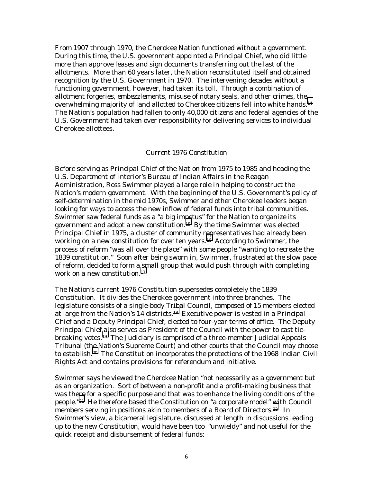From 1907 through 1970, the Cherokee Nation functioned without a government. During this time, the U.S. government appointed a Principal Chief, who did little more than approve leases and sign documents transferring out the last of the allotments. More than 60 years later, the Nation reconstituted itself and obtained recognition by the U.S. Government in 1970. The intervening decades without a functioning government, however, had taken its toll. Through a combination of allotment forgeries, embezzlements, misuse of notary seals, and other crimes, the overwhelming majority of land allotted to Cherokee citizens fell into white hands.[14](#page-31-0) The Nation's population had fallen to only 40,000 citizens and federal agencies of the U.S. Government had taken over responsibility for delivering services to individual Cherokee allottees.

#### *Current 1976 Constitution*

Before serving as Principal Chief of the Nation from 1975 to 1985 and heading the U.S. Department of Interior's Bureau of Indian Affairs in the Reagan Administration, Ross Swimmer played a large role in helping to construct the Nation's modern government. With the beginning of the U.S. Government's policy of self-determination in the mid 1970s, Swimmer and other Cherokee leaders began looking for ways to access the new inflow of federal funds into tribal communities. Swimmer saw federal funds as a "a big im[pe](#page-31-0)tus" for the Nation to organize its government and adopt a new constitution.15 By the time Swimmer was elected Principal Chief in 1975, a cluster of community r[ep](#page-31-0)resentatives had already been working on a new constitution for over ten years.<sup>16</sup> According to Swimmer, the process of reform "was all over the place" with some people "wanting to recreate the 1839 constitution." Soon after being sworn in, Swimmer, frustrated at the slow pace of reform, decided to form a small group that would push through with completing work on a new constitution.<sup>17</sup>

The Nation's current 1976 Constitution supersedes completely the 1839 Constitution. It divides the Cherokee government into three branches. The legislature consists of a single-body Tribal Council, composed of 15 members elected at large from the Nation's 14 districts[.18](#page-31-0) Executive power is vested in a Principal Chief and a Deputy Principal Chief, elected to four-year terms of office. The Deputy Principal Chief [al](#page-31-0)so serves as President of the Council with the power to cast tiebreaking votes.19 The Judiciary is comprised of a three-member Judicial Appeals Tribunal (the Nation's Supreme Court) and other courts that the Council may choose to establish.[20](#page-31-0) The Constitution incorporates the protections of the 1968 Indian Civil Rights Act and contains provisions for referendum and initiative.

Swimmer says he viewed the Cherokee Nation "not necessarily as a government but as an organization. Sort of between a non-profit and a profit-making business that was there for a specific purpose and that was to enhance the living conditions of the people.["21](#page-31-0) He therefore based the Constitution on "a corporate model" [wi](#page-31-0)th Council members serving in positions akin to members of a Board of Directors.<sup>22</sup> In Swimmer's view, a bicameral legislature, discussed at length in discussions leading up to the new Constitution, would have been too "unwieldy" and not useful for the quick receipt and disbursement of federal funds: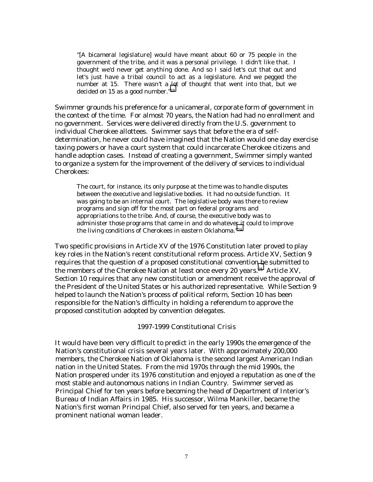"[A bicameral legislature] would have meant about 60 or 75 people in the government of the tribe, and it was a personal privilege. I didn't like that. I thought we'd never get anything done. And so I said let's cut that out and let's just have a tribal council to act as a legislature. And we pegged the number at 15. There wasn't a lot of thought that went into that, but we decided on 15 as a good number."[23](#page-31-0) 

Swimmer grounds his preference for a unicameral, corporate form of government in the context of the time. For almost 70 years, the Nation had had no enrollment and no government. Services were delivered directly from the U.S. government to individual Cherokee allottees. Swimmer says that before the era of selfdetermination, he never could have imagined that the Nation would one day exercise taxing powers or have a court system that could incarcerate Cherokee citizens and handle adoption cases. Instead of creating a government, Swimmer simply wanted to organize a system for the improvement of the delivery of services to individual Cherokees:

The court, for instance, its only purpose at the time was to handle disputes between the executive and legislative bodies. It had no outside function. It was going to be an internal court. The legislative body was there to review programs and sign off for the most part on federal programs and appropriations to the tribe. And, of course, the executive body was to administer those programs that came in and do whatever it could to improve the living conditions of Cherokees in eastern Oklahoma.["24](#page-31-0)

Two specific provisions in Article XV of the 1976 Constitution later proved to play key roles in the Nation's recent constitutional reform process. Article XV, Section 9 requires that the question of a proposed constitutional conventio[n b](#page-31-0)e submitted to the members of the Cherokee Nation at least once every 20 years.<sup>25</sup> Article XV, Section 10 requires that any new constitution or amendment receive the approval of the President of the United States or his authorized representative. While Section 9 helped to launch the Nation's process of political reform, Section 10 has been responsible for the Nation's difficulty in holding a referendum to approve the proposed constitution adopted by convention delegates.

#### *1997-1999 Constitutional Crisis*

It would have been very difficult to predict in the early 1990s the emergence of the Nation's constitutional crisis several years later. With approximately 200,000 members, the Cherokee Nation of Oklahoma is the second largest American Indian nation in the United States. From the mid 1970s through the mid 1990s, the Nation prospered under its 1976 constitution and enjoyed a reputation as one of the most stable and autonomous nations in Indian Country. Swimmer served as Principal Chief for ten years before becoming the head of Department of Interior's Bureau of Indian Affairs in 1985. His successor, Wilma Mankiller, became the Nation's first woman Principal Chief, also served for ten years, and became a prominent national woman leader.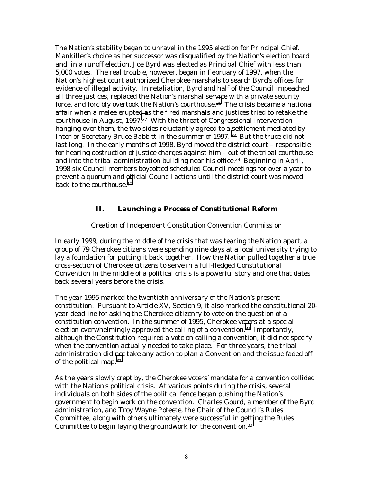The Nation's stability began to unravel in the 1995 election for Principal Chief. Mankiller's choice as her successor was disqualified by the Nation's election board and, in a runoff election, Joe Byrd was elected as Principal Chief with less than 5,000 votes. The real trouble, however, began in February of 1997, when the Nation's highest court authorized Cherokee marshals to search Byrd's offices for evidence of illegal activity. In retaliation, Byrd and half of the Council impeached all three justices, replaced the Nation's marshal ser[vic](#page-31-0)e with a private security force, and forcibly overtook the Nation's courthouse.26 The crisis became a national affair when a melee erupte[d a](#page-31-0)s the fired marshals and justices tried to retake the courthouse in August, 1997.27 With the threat of Congressional intervention hanging over them, the two sides reluctantly agreed to a settlement mediated by Interior Secretary Bruce Babbitt in the summer of 1997. [28](#page-31-0) But the truce did not last long. In the early months of 1998, Byrd moved the district court – responsible for hearing obstruction of justice charges against him – o[ut o](#page-31-0)f the tribal courthouse and into the tribal administration building near his office.<sup>29</sup> Beginning in April, 1998 six Council members boycotted scheduled Council meetings for over a year to prevent a quorum and official Council actions until the district court was moved back to the courthouse.[30](#page-31-0) 

## *II. Launching a Process of Constitutional Reform*

#### *Creation of Independent Constitution Convention Commission*

In early 1999, during the middle of the crisis that was tearing the Nation apart, a group of 79 Cherokee citizens were spending nine days at a local university trying to lay a foundation for putting it back together. How the Nation pulled together a true cross-section of Cherokee citizens to serve in a full-fledged Constitutional Convention in the middle of a political crisis is a powerful story and one that dates back several years before the crisis.

The year 1995 marked the twentieth anniversary of the Nation's present constitution. Pursuant to Article XV, Section 9, it also marked the constitutional 20 year deadline for asking the Cherokee citizenry to vote on the question of a constitution convention. In the summer of 1995, Cherokee voters at a special election overwhelmingly approved the calling of a convention.<sup>31</sup> Importantly, although the Constitution required a vote on calling a convention, it did not specify when the convention actually needed to take place. For three years, the tribal administration did not take any action to plan a Convention and the issue faded off of the political map[.32](#page-31-0) 

As the years slowly crept by, the Cherokee voters' mandate for a convention collided with the Nation's political crisis. At various points during the crisis, several individuals on both sides of the political fence began pushing the Nation's government to begin work on the convention. Charles Gourd, a member of the Byrd administration, and Troy Wayne Poteete, the Chair of the Council's Rules Committee, along with others ultimately were successful in getting the Rules Committee to begin laying the groundwork for the convention.[33](#page-31-0)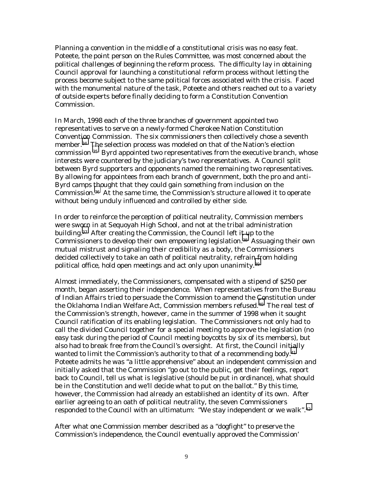Planning a convention in the middle of a constitutional crisis was no easy feat. Poteete, the point person on the Rules Committee, was most concerned about the political challenges of beginning the reform process. The difficulty lay in obtaining Council approval for launching a constitutional reform process without letting the process become subject to the same political forces associated with the crisis. Faced with the monumental nature of the task, Poteete and others reached out to a variety of outside experts before finally deciding to form a Constitution Convention Commission.

In March, 1998 each of the three branches of government appointed two representatives to serve on a newly-formed Cherokee Nation Constitution Convention Commission. The six commissioners then collectively chose a seventh member.[34 Th](#page-31-0)e selection process was modeled on that of the Nation's election commission 35 Byrd appointed two representatives from the executive branch, whose interests were countered by the judiciary's two representatives. A Council split between Byrd supporters and opponents named the remaining two representatives. By allowing for appointees from each branch of government, both the pro and anti-Byrd camps [tho](#page-31-0)ught that they could gain something from inclusion on the Commission.36 At the same time, the Commission's structure allowed it to operate without being unduly influenced and controlled by either side.

In order to reinforce the perception of political neutrality, Commission members were sworn in at Sequoyah High School, and not at the tribal administration building[.37](#page-31-0) After creating the Commission, the Council left i[t u](#page-31-0)p to the Commissioners to develop their own empowering legislation.38 Assuaging their own mutual mistrust and signaling their credibility as a body, the Commissioners decided collectively to take an oath of political neutrality, refrai[n fr](#page-31-0)om holding political office, hold open meetings and act only upon unanimity.39

Almost immediately, the Commissioners, compensated with a stipend of \$250 per month, began asserting their independence. When representatives from the Bureau of Indian Affairs tried to persuade the Commission to amend the [Co](#page-31-0)nstitution under the Oklahoma Indian Welfare Act, Commission members refused.40 The real test of the Commission's strength, however, came in the summer of 1998 when it sought Council ratification of its enabling legislation. The Commissioners not only had to call the divided Council together for a special meeting to approve the legislation (no easy task during the period of Council meeting boycotts by six of its members), but also had to break free from the Council's oversight. At first, the Council initially wanted to limit the Commission's authority to that of a recommending body.<sup>41</sup> Poteete admits he was "a little apprehensive" about an independent commission and initially asked that the Commission "go out to the public, get their feelings, report back to Council, tell us what is legislative (should be put in ordinance), what should be in the Constitution and we'll decide what to put on the ballot." By this time, however, the Commission had already an established an identity of its own. After earlier agreeing to an oath of political neutrality, the seven Commissioners responded to the Council with an ultimatum: "We stay independent or we walk".<sup>42</sup>

After what one Commission member described as a "dogfight" to preserve the Commission's independence, the Council eventually approved the Commission'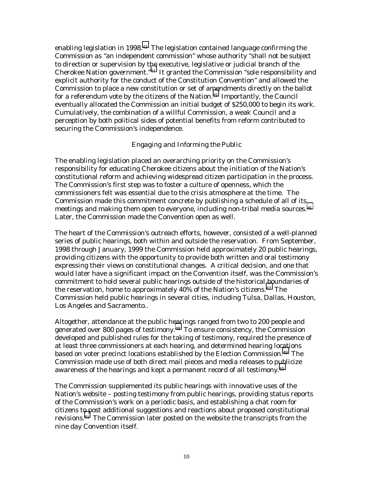enabling legislation in 1998.[43](#page-31-0) The legislation contained language confirming the Commission as "an independent commission" whose authority "shall not be subject to direction or supervision by the executive, legislative or judicial branch of the Cherokee Nation government."[44](#page-31-0) It granted the Commission "sole responsibility and explicit authority for the conduct of the Constitution Convention" and allowed the Commission to place a new constitution or set of amendments directly on the ballot for a referendum vote by the citizens of the Nation.<sup>45</sup> Importantly, the Council eventually allocated the Commission an initial budget of \$250,000 to begin its work. Cumulatively, the combination of a willful Commission, a weak Council and a perception by both political sides of potential benefits from reform contributed to securing the Commission's independence.

## *Engaging and Informing the Public*

The enabling legislation placed an overarching priority on the Commission's responsibility for educating Cherokee citizens about the initiation of the Nation's constitutional reform and achieving widespread citizen participation in the process. The Commission's first step was to foster a culture of openness, which the commissioners felt was essential due to the crisis atmosphere at the time. The Commission made this commitment concrete by publishing a schedule of all of its meetings and making them open to everyone, including non-tribal media sources.<sup>46</sup> Later, the Commission made the Convention open as well.

The heart of the Commission's outreach efforts, however, consisted of a well-planned series of public hearings, both within and outside the reservation. From September, 1998 through January, 1999 the Commission held approximately 20 public hearings, providing citizens with the opportunity to provide both written and oral testimony expressing their views on constitutional changes. A critical decision, and one that would later have a significant impact on the Convention itself, was the Commission's commitment to hold several public hearings outside of the historical boundaries of the reservation, home to approximately 40% of the Nation's citizens.[47](#page-31-0) The Commission held public hearings in several cities, including Tulsa, Dallas, Houston, Los Angeles and Sacramento..

Altogether, attendance at the public hearings ranged from two to 200 people and generated over 800 pages of testimony.<sup>48</sup> To ensure consistency, the Commission developed and published rules for the taking of testimony, required the presence of at least three commissioners at each hearing, and determined hearing locations based on voter precinct locations established by the Election Commission[.49](#page-31-0) The Commission made use of both direct mail pieces and media releases to p[ub](#page-31-0)licize awareness of the hearings and kept a permanent record of all testimony.<sup>50</sup>

The Commission supplemented its public hearings with innovative uses of the Nation's website – posting testimony from public hearings, providing status reports of the Commission's work on a periodic basis, and establishing a chat room for citizens t[o p](#page-31-0)ost additional suggestions and reactions about proposed constitutional revisions.51 The Commission later posted on the website the transcripts from the nine day Convention itself.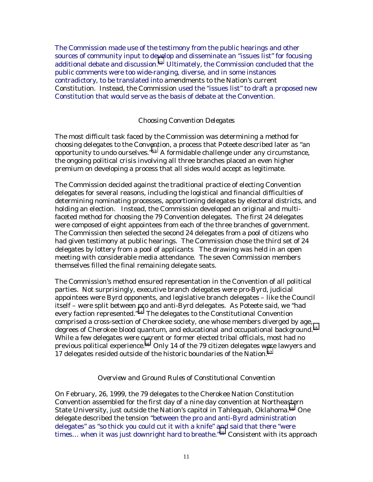The Commission made use of the testimony from the public hearings and other sources of community input to de[ve](#page-31-0)lop and disseminate an "issues list" for focusing additional debate and discussion.52 Ultimately, the Commission concluded that the public comments were too wide-ranging, diverse, and in some instances contradictory, to be translated into amendments to the Nation's current Constitution. Instead, the Commission used the "issues list" to draft a proposed new Constitution that would serve as the basis of debate at the Convention.

## *Choosing Convention Delegates*

The most difficult task faced by the Commission was determining a method for choosing delegates to the Conv[ent](#page-31-0)ion, a process that Poteete described later as "an opportunity to undo ourselves."53 A formidable challenge under any circumstance, the ongoing political crisis involving all three branches placed an even higher premium on developing a process that all sides would accept as legitimate.

The Commission decided against the traditional practice of electing Convention delegates for several reasons, including the logistical and financial difficulties of determining nominating processes, apportioning delegates by electoral districts, and holding an election. Instead, the Commission developed an original and multifaceted method for choosing the 79 Convention delegates. The first 24 delegates were composed of eight appointees from each of the three branches of government. The Commission then selected the second 24 delegates from a pool of citizens who had given testimony at public hearings. The Commission chose the third set of 24 delegates by lottery from a pool of applicants The drawing was held in an open meeting with considerable media attendance. The seven Commission members themselves filled the final remaining delegate seats.

The Commission's method ensured representation in the Convention of all political parties. Not surprisingly, executive branch delegates were pro-Byrd, judicial appointees were Byrd opponents, and legislative branch delegates – like the Council itself – were split between pro and anti-Byrd delegates. As Poteete said, we "had every faction represented."[54](#page-31-0) The delegates to the Constitutional Convention comprised a cross-section of Cherokee society, one whose members diverged by age, degrees of Cherokee blood quantum, and educational and occupational background.[55](#page-31-0)  While a few delegates were c[ur](#page-31-0)rent or former elected tribal officials, most had no previous political experience.56 Only 14 of the 79 citizen delegates were lawyers and 17 delegates resided outside of the historic boundaries of the Nation.<sup>57</sup>

#### *Overview and Ground Rules of Constitutional Convention*

On February, 26, 1999, the 79 delegates to the Cherokee Nation Constitution Convention assembled for the first day of a nine day convention at Northea[ste](#page-31-0)rn State University, just outside the Nation's capitol in Tahlequah, Oklahoma.<sup>58</sup> One delegate described the tension "between the pro and anti-Byrd administration delegates" as "so thick you could cut it with a knife" and said that there "were times… when it was just downright hard to breathe."[59](#page-31-0) Consistent with its approach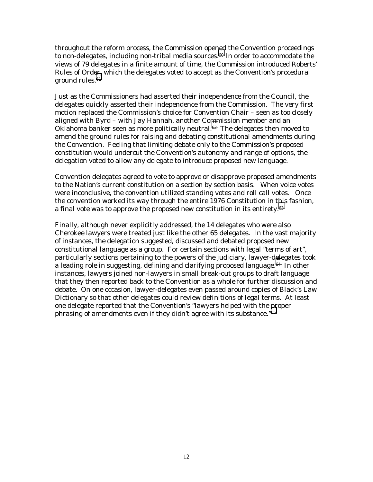throughout the reform process, the Commission opened the Convention proceedings to non-delegates, including non-tribal media sources.<sup>60</sup> In order to accommodate the views of 79 delegates in a finite amount of time, the Commission introduced Roberts' Rules of Ord[er,](#page-31-0) which the delegates voted to accept as the Convention's procedural ground rules.<sup>61</sup>

Just as the Commissioners had asserted their independence from the Council, the delegates quickly asserted their independence from the Commission. The very first motion replaced the Commission's choice for Convention Chair – seen as too closely aligned with Byrd – with Jay Hannah, another Co[mm](#page-31-0)ission member and an Oklahoma banker seen as more politically neutral.<sup>62</sup> The delegates then moved to amend the ground rules for raising and debating constitutional amendments during the Convention. Feeling that limiting debate only to the Commission's proposed constitution would undercut the Convention's autonomy and range of options, the delegation voted to allow any delegate to introduce proposed new language.

Convention delegates agreed to vote to approve or disapprove proposed amendments to the Nation's current constitution on a section by section basis. When voice votes were inconclusive, the convention utilized standing votes and roll call votes. Once the convention worked its way through the entire 1976 Constitution in this fashion, a final vote was to approve the proposed new constitution in its entirety.[63](#page-31-0) 

Finally, although never explicitly addressed, the 14 delegates who were also Cherokee lawyers were treated just like the other 65 delegates. In the vast majority of instances, the delegation suggested, discussed and debated proposed new constitutional language as a group. For certain sections with legal "terms of art", particularly sections pertaining to the powers of the judiciary, lawyer-d[ele](#page-31-0)gates took a leading role in suggesting, defining and clarifying proposed language.<sup>64</sup> In other instances, lawyers joined non-lawyers in small break-out groups to draft language that they then reported back to the Convention as a whole for further discussion and debate. On one occasion, lawyer-delegates even passed around copies of Black's Law Dictionary so that other delegates could review definitions of legal terms. At least one delegate reported that the Convention's "lawyers helped with the proper phrasing of amendments even if they didn't agree with its substance."[65](#page-31-0)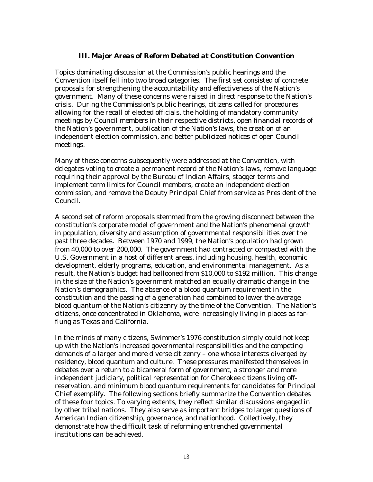## *III. Major Areas of Reform Debated at Constitution Convention*

Topics dominating discussion at the Commission's public hearings and the Convention itself fell into two broad categories. The first set consisted of concrete proposals for strengthening the accountability and effectiveness of the Nation's government. Many of these concerns were raised in direct response to the Nation's crisis. During the Commission's public hearings, citizens called for procedures allowing for the recall of elected officials, the holding of mandatory community meetings by Council members in their respective districts, open financial records of the Nation's government, publication of the Nation's laws, the creation of an independent election commission, and better publicized notices of open Council meetings.

Many of these concerns subsequently were addressed at the Convention, with delegates voting to create a permanent record of the Nation's laws, remove language requiring their approval by the Bureau of Indian Affairs, stagger terms and implement term limits for Council members, create an independent election commission, and remove the Deputy Principal Chief from service as President of the Council.

A second set of reform proposals stemmed from the growing disconnect between the constitution's corporate model of government and the Nation's phenomenal growth in population, diversity and assumption of governmental responsibilities over the past three decades. Between 1970 and 1999, the Nation's population had grown from 40,000 to over 200,000. The government had contracted or compacted with the U.S. Government in a host of different areas, including housing, health, economic development, elderly programs, education, and environmental management. As a result, the Nation's budget had ballooned from \$10,000 to \$192 million. This change in the size of the Nation's government matched an equally dramatic change in the Nation's demographics. The absence of a blood quantum requirement in the constitution and the passing of a generation had combined to lower the average blood quantum of the Nation's citizenry by the time of the Convention. The Nation's citizens, once concentrated in Oklahoma, were increasingly living in places as farflung as Texas and California.

In the minds of many citizens, Swimmer's 1976 constitution simply could not keep up with the Nation's increased governmental responsibilities and the competing demands of a larger and more diverse citizenry – one whose interests diverged by residency, blood quantum and culture. These pressures manifested themselves in debates over a return to a bicameral form of government, a stronger and more independent judiciary, political representation for Cherokee citizens living offreservation, and minimum blood quantum requirements for candidates for Principal Chief exemplify. The following sections briefly summarize the Convention debates of these four topics. To varying extents, they reflect similar discussions engaged in by other tribal nations. They also serve as important bridges to larger questions of American Indian citizenship, governance, and nationhood. Collectively, they demonstrate how the difficult task of reforming entrenched governmental institutions can be achieved.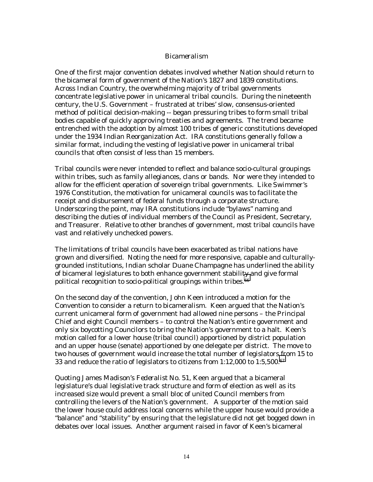## *Bicameralism*

One of the first major convention debates involved whether Nation should return to the bicameral form of government of the Nation's 1827 and 1839 constitutions. Across Indian Country, the overwhelming majority of tribal governments concentrate legislative power in unicameral tribal councils. During the nineteenth century, the U.S. Government – frustrated at tribes' slow, consensus-oriented method of political decision-making -- began pressuring tribes to form small tribal bodies capable of quickly approving treaties and agreements. The trend became entrenched with the adoption by almost 100 tribes of generic constitutions developed under the 1934 Indian Reorganization Act. IRA constitutions generally follow a similar format, including the vesting of legislative power in unicameral tribal councils that often consist of less than 15 members.

Tribal councils were never intended to reflect and balance socio-cultural groupings within tribes, such as family allegiances, clans or bands. Nor were they intended to allow for the efficient operation of sovereign tribal governments. Like Swimmer's 1976 Constitution, the motivation for unicameral councils was to facilitate the receipt and disbursement of federal funds through a corporate structure. Underscoring the point, may IRA constitutions include "bylaws" naming and describing the duties of individual members of the Council as President, Secretary, and Treasurer. Relative to other branches of government, most tribal councils have vast and relatively unchecked powers.

The limitations of tribal councils have been exacerbated as tribal nations have grown and diversified. Noting the need for more responsive, capable and culturallygrounded institutions, Indian scholar Duane Champagne has underlined the ability of bicameral legislatures to both enhance government stabili[ty a](#page-31-0)nd give formal political recognition to socio-political groupings within tribes.<sup>66</sup>

On the second day of the convention, John Keen introduced a motion for the Convention to consider a return to bicameralism. Keen argued that the Nation's current unicameral form of government had allowed nine persons – the Principal Chief and eight Council members – to control the Nation's entire government and only six boycotting Councilors to bring the Nation's government to a halt. Keen's motion called for a lower house (tribal council) apportioned by district population and an upper house (senate) apportioned by one delegate per district. The move to two houses of government would increase the total number of legislators from 15 to 33 and reduce the ratio of legislators to citizens from 1:12,000 to 1:5,500[.67](#page-31-0) 

Quoting James Madison's *Federalist No. 51*, Keen argued that a bicameral legislature's dual legislative track structure and form of election as well as its increased size would prevent a small bloc of united Council members from controlling the levers of the Nation's government. A supporter of the motion said the lower house could address local concerns while the upper house would provide a "balance" and "stability" by ensuring that the legislature did not get bogged down in debates over local issues. Another argument raised in favor of Keen's bicameral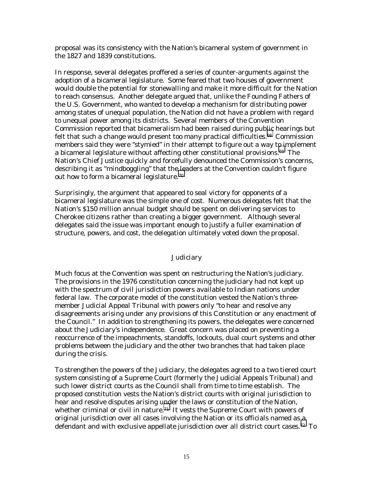proposal was its consistency with the Nation's bicameral system of government in the 1827 and 1839 constitutions.

In response, several delegates proffered a series of counter-arguments against the adoption of a bicameral legislature. Some feared that two houses of government would double the potential for stonewalling and make it more difficult for the Nation to reach consensus. Another delegate argued that, unlike the Founding Fathers of the U.S. Government, who wanted to develop a mechanism for distributing power among states of unequal population, the Nation did not have a problem with regard to unequal power among its districts. Several members of the Convention Commission reported that bicameralism had been raised during public hearings but felt that such a change would present too many practical difficulties.<sup>68</sup> Commission members said they were "stymied" in their attempt to figure out a way t[o i](#page-31-0)mplement a bicameral legislature without affecting other constitutional provisions.69 The Nation's Chief Justice quickly and forcefully denounced the Commission's concerns, describing it as "mindboggling" that the leaders at the Convention couldn't figure out how to form a bicameral legislature[.70](#page-31-0) 

Surprisingly, the argument that appeared to seal victory for opponents of a bicameral legislature was the simple one of cost. Numerous delegates felt that the Nation's \$150 million annual budget should be spent on delivering services to Cherokee citizens rather than creating a bigger government. Although several delegates said the issue was important enough to justify a fuller examination of structure, powers, and cost, the delegation ultimately voted down the proposal.

#### *Judiciary*

Much focus at the Convention was spent on restructuring the Nation's judiciary. The provisions in the 1976 constitution concerning the judiciary had not kept up with the spectrum of civil jurisdiction powers available to Indian nations under federal law. The corporate model of the constitution vested the Nation's threemember Judicial Appeal Tribunal with powers only "to hear and resolve any disagreements arising under any provisions of this Constitution or any enactment of the Council." In addition to strengthening its powers, the delegates were concerned about the Judiciary's independence. Great concern was placed on preventing a reoccurrence of the impeachments, standoffs, lockouts, dual court systems and other problems between the judiciary and the other two branches that had taken place during the crisis.

To strengthen the powers of the Judiciary, the delegates agreed to a two tiered court system consisting of a Supreme Court (formerly the Judicial Appeals Tribunal) and such lower district courts as the Council shall from time to time establish. The proposed constitution vests the Nation's district courts with original jurisdiction to hear and resolve disputes arising u[nd](#page-31-0)er the laws or constitution of the Nation, whether criminal or civil in nature.<sup>71</sup> It vests the Supreme Court with powers of original jurisdiction over all cases involving the Nation or its officials named as a defendant and with exclusive appellate jurisdiction over all district court cases.[72](#page-31-0) To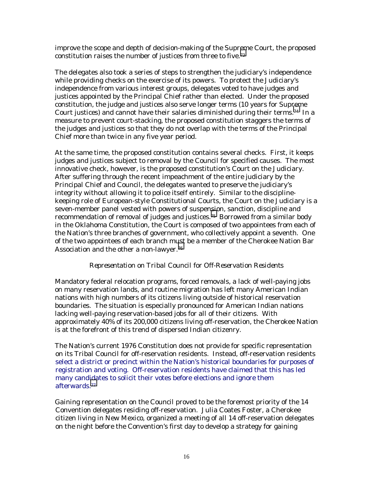improve the scope and depth of decision-making of the Supreme Court, the proposed constitution raises the number of justices from three to five.[73](#page-31-0)

The delegates also took a series of steps to strengthen the judiciary's independence while providing checks on the exercise of its powers. To protect the Judiciary's independence from various interest groups, delegates voted to have judges and justices appointed by the Principal Chief rather than elected. Under the proposed constitution, the judge and justices also serve longer terms (10 years for Supreme Court justices) and cannot have their salaries diminished during their terms[.74](#page-31-0) In a measure to prevent court-stacking, the proposed constitution staggers the terms of the judges and justices so that they do not overlap with the terms of the Principal Chief more than twice in any five year period.

At the same time, the proposed constitution contains several checks. First, it keeps judges and justices subject to removal by the Council for specified causes. The most innovative check, however, is the proposed constitution's Court on the Judiciary. After suffering through the recent impeachment of the entire judiciary by the Principal Chief and Council, the delegates wanted to preserve the judiciary's integrity without allowing it to police itself entirely. Similar to the disciplinekeeping role of European-style Constitutional Courts, the Court on the Judiciary is a seven-member panel vested with powers of suspension, sanction, discipline and recommendation of removal of judges and justices.<sup>75</sup> Borrowed from a similar body in the Oklahoma Constitution, the Court is composed of two appointees from each of the Nation's three branches of government, who collectively appoint a seventh. One of the two appointees of each branch must be a member of the Cherokee Nation Bar Association and the other a non-lawyer.[76](#page-31-0) 

# *Representation on Tribal Council for Off-Reservation Residents*

Mandatory federal relocation programs, forced removals, a lack of well-paying jobs on many reservation lands, and routine migration has left many American Indian nations with high numbers of its citizens living outside of historical reservation boundaries. The situation is especially pronounced for American Indian nations lacking well-paying reservation-based jobs for all of their citizens. With approximately 40% of its 200,000 citizens living off-reservation, the Cherokee Nation is at the forefront of this trend of dispersed Indian citizenry.

The Nation's current 1976 Constitution does not provide for specific representation on its Tribal Council for off-reservation residents. Instead, off-reservation residents select a district or precinct within the Nation's historical boundaries for purposes of registration and voting. Off-reservation residents have claimed that this has led many candidates to solicit their votes before elections and ignore them afterwards[.77](#page-31-0) 

Gaining representation on the Council proved to be the foremost priority of the 14 Convention delegates residing off-reservation. Julia Coates Foster, a Cherokee citizen living in New Mexico, organized a meeting of all 14 off-reservation delegates on the night before the Convention's first day to develop a strategy for gaining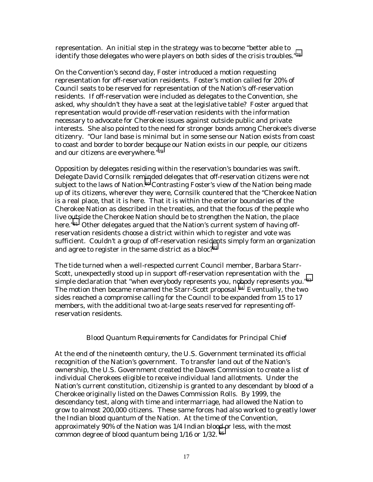representation. An initial step in the strategy was to become "better able to identify those delegates who were players on both sides of the crisis troubles.["78](#page-31-0) 

On the Convention's second day, Foster introduced a motion requesting representation for off-reservation residents. Foster's motion called for 20% of Council seats to be reserved for representation of the Nation's off-reservation residents. If off-reservation were included as delegates to the Convention, she asked, why shouldn't they have a seat at the legislative table? Foster argued that representation would provide off-reservation residents with the information necessary to advocate for Cherokee issues against outside public and private interests. She also pointed to the need for stronger bonds among Cherokee's diverse citizenry. "Our land base is minimal but in some sense our Nation exists from coast to coast and border to border bec[aus](#page-31-0)e our Nation exists in our people, our citizens and our citizens are everywhere."79

Opposition by delegates residing within the reservation's boundaries was swift. Delegate David Cornsilk reminded delegates that off-reservation citizens were not subject to the laws of Nation.<sup>80</sup> Contrasting Foster's view of the Nation being made up of its citizens, wherever they were, Cornsilk countered that the "Cherokee Nation is a real place, that it is here. That it is within the exterior boundaries of the Cherokee Nation as described in the treaties, and that the focus of the people who live o[uts](#page-31-0)ide the Cherokee Nation should be to strengthen the Nation, the place here."<sup>81</sup> Other delegates argued that the Nation's current system of having offreservation residents choose a district within which to register and vote was sufficient. Couldn't a group of off-reservation residents simply form an organization and agree to register in the same district as a bloc?<sup>82</sup>

The tide turned when a well-respected current Council member, Barbara Starr-Scott, unexpectedly stood up in support off-reservation representation with the simple declaration that "when everybody represents you, nobody represents you."83 The motion then became renamed the Starr-Scott proposal.<sup>84</sup> Eventually, the two sides reached a compromise calling for the Council to be expanded from 15 to 17 members, with the additional two at-large seats reserved for representing offreservation residents.

#### *Blood Quantum Requirements for Candidates for Principal Chief*

At the end of the nineteenth century, the U.S. Government terminated its official recognition of the Nation's government. To transfer land out of the Nation's ownership, the U.S. Government created the Dawes Commission to create a list of individual Cherokees eligible to receive individual land allotments. Under the Nation's current constitution, citizenship is granted to any descendant by blood of a Cherokee originally listed on the Dawes Commission Rolls. By 1999, the descendancy test, along with time and intermarriage, had allowed the Nation to grow to almost 200,000 citizens. These same forces had also worked to greatly lower the Indian blood quantum of the Nation. At the time of the Convention, approximately 90% of the Nation was 1/4 Indian bloo[d o](#page-31-0)r less, with the most common degree of blood quantum being 1/16 or 1/32. 85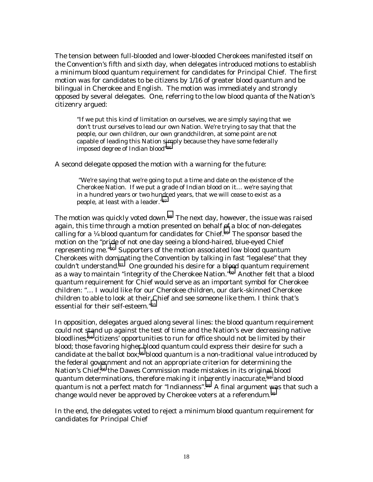The tension between full-blooded and lower-blooded Cherokees manifested itself on the Convention's fifth and sixth day, when delegates introduced motions to establish a minimum blood quantum requirement for candidates for Principal Chief. The first motion was for candidates to be citizens by 1/16 of greater blood quantum and be bilingual in Cherokee and English. The motion was immediately and strongly opposed by several delegates. One, referring to the low blood quanta of the Nation's citizenry argued:

"If we put this kind of limitation on ourselves, we are simply saying that we don't trust ourselves to lead our own Nation. We're trying to say that that the people, our own children, our own grandchildren, at some point are not capable of leading this Nation s[im](#page-31-0)ply because they have some federally imposed degree of Indian blood"86

A second delegate opposed the motion with a warning for the future:

"We're saying that we're going to put a time and date on the existence of the Cherokee Nation. If we put a grade of Indian blood on it… we're saying that in a hundred years or two hundred years, that we will cease to exist as a people, at least with a leader.["87](#page-31-0) 

The motion was quickly voted down.<sup>88</sup> The next day, however, the issue was raised again, this time through a motion presented on behalf [of](#page-31-0) a bloc of non-delegates calling for a  $\frac{1}{4}$  blood quantum for candidates for Chief.<sup>89</sup> The sponsor based the motion on the "pride of not one day seeing a blond-haired, blue-eyed Chief representing me."[90](#page-31-0) Supporters of the motion associated low blood quantum Cherokees with dominating the Convention by talking in fast "legalese" that they couldn't understand.[91](#page-31-0) One grounded his desire for a bl[ood](#page-31-0) quantum requirement as a way to maintain "integrity of the Cherokee Nation."92 Another felt that a blood quantum requirement for Chief would serve as an important symbol for Cherokee children: "… I would like for our Cherokee children, our dark-skinned Cherokee children to able to look at their Chief and see someone like them. I think that's essential for their self-esteem."[93](#page-31-0) 

In opposition, delegates argued along several lines: the blood quantum requirement could not [sta](#page-31-0)nd up against the test of time and the Nation's ever decreasing native bloodlines;94 citizens' opportunities to run for office should not be limited by their blood; those favoring higher blood quantum could express their desire for such a candidate at the ballot box;<sup>95</sup> blood quantum is a non-traditional value introduced by the federal gov[er](#page-31-0)nment and not an appropriate criterion for determining the Nation's Chief;<sup>96</sup> the Dawes Commission made mistakes in its origin[al](#page-31-0) blood quantum determinations, therefore making it inherently inaccurate, <sup>97</sup> and blood quantum is not a perfect match for "Indianness".[98](#page-31-0) A final argument [wa](#page-31-0)s that such a change would never be approved by Cherokee voters at a referendum.<sup>99</sup>

In the end, the delegates voted to reject a minimum blood quantum requirement for candidates for Principal Chief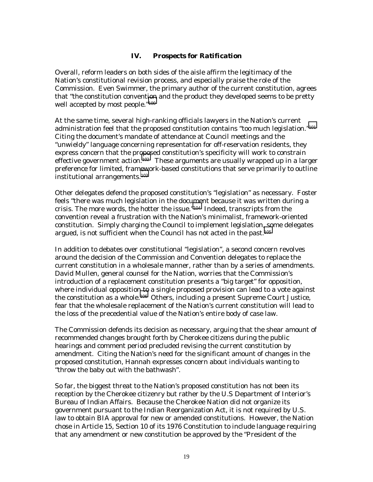# *IV. Prospects for Ratification*

Overall, reform leaders on both sides of the aisle affirm the legitimacy of the Nation's constitutional revision process, and especially praise the role of the Commission. Even Swimmer, the primary author of the current constitution, agrees that "the constitution convent[ion](#page-31-0) and the product they developed seems to be pretty well accepted by most people."100

At the same time, several high-ranking officials lawyers in the Nation's current administration feel that the proposed constitution contains "too much legislation."[101](#page-31-0) Citing the document's mandate of attendance at Council meetings and the "unwieldy" language concerning representation for off-reservation residents, they express concern that the pr[opos](#page-31-0)ed constitution's specificity will work to constrain effective government action.<sup>102</sup> These arguments are usually wrapped up in a larger preference for limited, framework-based constitutions that serve primarily to outline institutional arrangements[.103](#page-31-0) 

Other delegates defend the proposed constitution's "legislation" as necessary. Foster feels "there was much legislation in the document because it was written during a crisis. The more words, the hotter the issue.["104](#page-31-0) Indeed, transcripts from the convention reveal a frustration with the Nation's minimalist, framework-oriented constitution. Simply charging the Council to implement legislation, some delegates argued, is not sufficient when the Council has not acted in the past.[105](#page-31-0)

In addition to debates over constitutional "legislation", a second concern revolves around the decision of the Commission and Convention delegates to replace the current constitution in a wholesale manner, rather than by a series of amendments. David Mullen, general counsel for the Nation, worries that the Commission's introduction of a replacement constitution presents a "big target" for opposition, where individual oppositio[n to](#page-31-0) a single proposed provision can lead to a vote against the constitution as a whole.106 Others, including a present Supreme Court Justice, fear that the wholesale replacement of the Nation's current constitution will lead to the loss of the precedential value of the Nation's entire body of case law.

The Commission defends its decision as necessary, arguing that the shear amount of recommended changes brought forth by Cherokee citizens during the public hearings and comment period precluded revising the current constitution by amendment. Citing the Nation's need for the significant amount of changes in the proposed constitution, Hannah expresses concern about individuals wanting to "throw the baby out with the bathwash".

So far, the biggest threat to the Nation's proposed constitution has not been its reception by the Cherokee citizenry but rather by the U.S Department of Interior's Bureau of Indian Affairs. Because the Cherokee Nation did not organize its government pursuant to the Indian Reorganization Act, it is not required by U.S. law to obtain BIA approval for new or amended constitutions. However, the Nation chose in Article 15, Section 10 of its 1976 Constitution to include language requiring that any amendment or new constitution be approved by the "President of the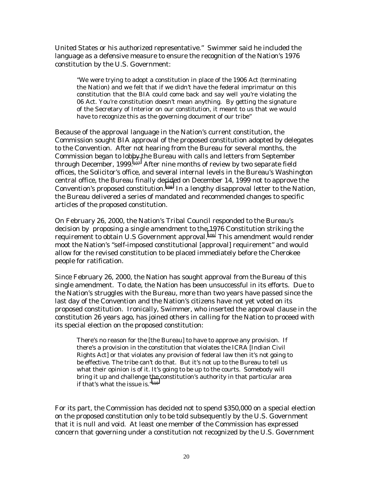United States or his authorized representative." Swimmer said he included the language as a defensive measure to ensure the recognition of the Nation's 1976 constitution by the U.S. Government:

"We were trying to adopt a constitution in place of the 1906 Act (terminating the Nation) and we felt that if we didn't have the federal imprimatur on this constitution that the BIA could come back and say well you're violating the 06 Act. You're constitution doesn't mean anything. By getting the signature of the Secretary of Interior on our constitution, it meant to us that we would have to recognize this as the governing document of our tribe"

Because of the approval language in the Nation's current constitution, the Commission sought BIA approval of the proposed constitution adopted by delegates to the Convention. After not hearing from the Bureau for several months, the Commission began to lob[by t](#page-31-0)he Bureau with calls and letters from September through December, 1999.<sup>107</sup> After nine months of review by two separate field offices, the Solicitor's office, and several internal levels in the Bureau's Washington central office, the Bureau finally decided on December 14, 1999 not to approve the Convention's proposed constitution.[108](#page-31-0) In a lengthy disapproval letter to the Nation, the Bureau delivered a series of mandated and recommended changes to specific articles of the proposed constitution.

On February 26, 2000, the Nation's Tribal Council responded to the Bureau's decision by proposing a single amendment to the 1976 Constitution striking the requirement to obtain U.S Government approval.[109](#page-31-0) This amendment would render moot the Nation's "self-imposed constitutional [approval] requirement" and would allow for the revised constitution to be placed immediately before the Cherokee people for ratification.

Since February 26, 2000, the Nation has sought approval from the Bureau of this single amendment. To date, the Nation has been unsuccessful in its efforts. Due to the Nation's struggles with the Bureau, more than two years have passed since the last day of the Convention and the Nation's citizens have not yet voted on its proposed constitution. Ironically, Swimmer, who inserted the approval clause in the constitution 26 years ago, has joined others in calling for the Nation to proceed with its special election on the proposed constitution:

There's no reason for the [the Bureau] to have to approve any provision. If there's a provision in the constitution that violates the ICRA [Indian Civil Rights Act] or that violates any provision of federal law then it's not going to be effective. The tribe can't do that. But it's not up to the Bureau to tell us what their opinion is of it. It's going to be up to the courts. Somebody will bring it up and challenge t[he](#page-31-0) constitution's authority in that particular area if that's what the issue is."110

For its part, the Commission has decided not to spend \$350,000 on a special election on the proposed constitution only to be told subsequently by the U.S. Government that it is null and void. At least one member of the Commission has expressed concern that governing under a constitution not recognized by the U.S. Government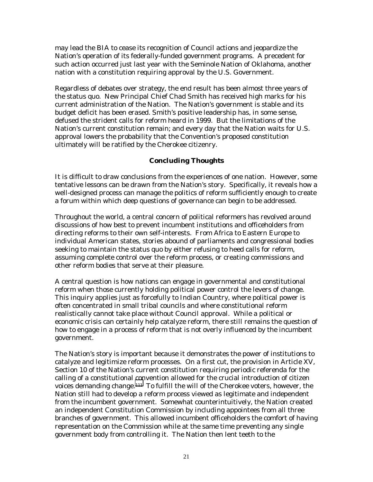may lead the BIA to cease its recognition of Council actions and jeopardize the Nation's operation of its federally-funded government programs. A precedent for such action occurred just last year with the Seminole Nation of Oklahoma, another nation with a constitution requiring approval by the U.S. Government.

Regardless of debates over strategy, the end result has been almost three years of the status quo. New Principal Chief Chad Smith has received high marks for his current administration of the Nation. The Nation's government is stable and its budget deficit has been erased. Smith's positive leadership has, in some sense, defused the strident calls for reform heard in 1999. But the limitations of the Nation's current constitution remain; and every day that the Nation waits for U.S. approval lowers the probability that the Convention's proposed constitution ultimately will be ratified by the Cherokee citizenry.

# *Concluding Thoughts*

It is difficult to draw conclusions from the experiences of one nation. However, some tentative lessons can be drawn from the Nation's story. Specifically, it reveals how a well-designed process can manage the politics of reform sufficiently enough to create a forum within which deep questions of governance can begin to be addressed.

Throughout the world, a central concern of political reformers has revolved around discussions of how best to prevent incumbent institutions and officeholders from directing reforms to their own self-interests. From Africa to Eastern Europe to individual American states, stories abound of parliaments and congressional bodies seeking to maintain the status quo by either refusing to heed calls for reform, assuming complete control over the reform process, or creating commissions and other reform bodies that serve at their pleasure.

A central question is how nations can engage in governmental and constitutional reform when those currently holding political power control the levers of change. This inquiry applies just as forcefully to Indian Country, where political power is often concentrated in small tribal councils and where constitutional reform realistically cannot take place without Council approval. While a political or economic crisis can certainly help catalyze reform, there still remains the question of how to engage in a process of reform that is not overly influenced by the incumbent government.

The Nation's story is important because it demonstrates the power of institutions to catalyze and legitimize reform processes. On a first cut, the provision in Article XV, Section 10 of the Nation's current constitution requiring periodic referenda for the calling of a constitutional convention allowed for the crucial introduction of citizen voices demanding change[.111](#page-31-0) To fulfill the will of the Cherokee voters, however, the Nation still had to develop a reform process viewed as legitimate and independent from the incumbent government. Somewhat counterintuitively, the Nation created an independent Constitution Commission by *including* appointees from all three branches of government. This allowed incumbent officeholders the comfort of having representation on the Commission while at the same time preventing any single government body from controlling it. The Nation then lent teeth to the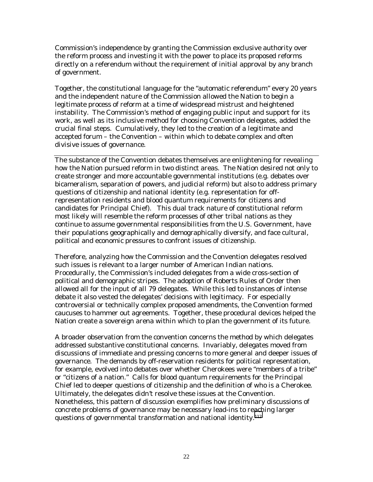Commission's independence by granting the Commission exclusive authority over the reform process and investing it with the power to place its proposed reforms directly on a referendum without the requirement of initial approval by any branch of government.

Together, the constitutional language for the "automatic referendum" every 20 years and the independent nature of the Commission allowed the Nation to begin a legitimate process of reform at a time of widespread mistrust and heightened instability. The Commission's method of engaging public input and support for its work, as well as its inclusive method for choosing Convention delegates, added the crucial final steps. Cumulatively, they led to the creation of a legitimate and accepted forum – the Convention – within which to debate complex and often divisive issues of governance.

The substance of the Convention debates themselves are enlightening for revealing how the Nation pursued reform in two distinct areas. The Nation desired not only to create stronger and more accountable governmental institutions (e.g. debates over bicameralism, separation of powers, and judicial reform) but also to address primary questions of citizenship and national identity (e.g. representation for offrepresentation residents and blood quantum requirements for citizens and candidates for Principal Chief). This dual track nature of constitutional reform most likely will resemble the reform processes of other tribal nations as they continue to assume governmental responsibilities from the U.S. Government, have their populations geographically and demographically diversify, and face cultural, political and economic pressures to confront issues of citizenship.

Therefore, analyzing how the Commission and the Convention delegates resolved such issues is relevant to a larger number of American Indian nations. Procedurally, the Commission's included delegates from a wide cross-section of political and demographic stripes. The adoption of Roberts Rules of Order then allowed all for the input of all 79 delegates. While this led to instances of intense debate it also vested the delegates' decisions with legitimacy. For especially controversial or technically complex proposed amendments, the Convention formed caucuses to hammer out agreements. Together, these procedural devices helped the Nation create a sovereign arena within which to plan the government of its future.

A broader observation from the convention concerns the method by which delegates addressed substantive constitutional concerns. Invariably, delegates moved from discussions of immediate and pressing concerns to more general and deeper issues of governance. The demands by off-reservation residents for political representation, for example, evolved into debates over whether Cherokees were "members of a tribe" or "citizens of a nation." Calls for blood quantum requirements for the Principal Chief led to deeper questions of citizenship and the definition of who is a Cherokee. Ultimately, the delegates didn't resolve these issues at the Convention. Nonetheless, this pattern of discussion exemplifies how preliminary discussions of concrete problems of governance may be necessary lead-ins to reaching larger questions of governmental transformation and national identity.<sup>112</sup>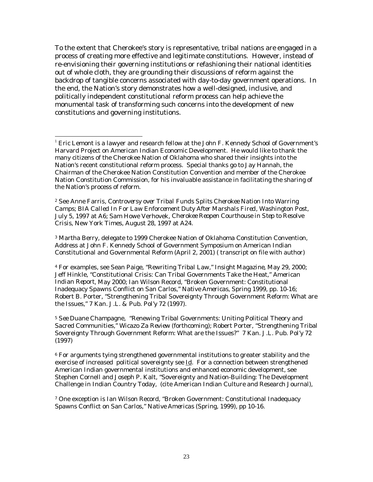To the extent that Cherokee's story is representative, tribal nations *are* engaged in a process of creating more effective and legitimate constitutions. However, instead of re-envisioning their governing institutions or refashioning their national identities out of whole cloth, they are grounding their discussions of reform against the backdrop of tangible concerns associated with day-to-day government operations. In the end, the Nation's story demonstrates how a well-designed, inclusive, and politically independent constitutional reform process can help achieve the monumental task of transforming such concerns into the development of new constitutions and governing institutions.

2 See Anne Farris, *Controversy over Tribal Funds Splits Cherokee Nation Into Warring Camps; BIA Called In For Law Enforcement Duty After Marshals Fired*, Washington Post, July 5, 1997 at A6; Sam Howe Verhovek, *Cherokee Reopen Courthouse in Step to Resolve Crisis*, New York Times, August 28, 1997 at A24.

3 Martha Berry, delegate to 1999 Cherokee Nation of Oklahoma Constitution Convention, Address at John F. Kennedy School of Government Symposium on American Indian Constitutional and Governmental Reform (April 2, 2001) ( transcript on file with author)

4 For examples, see Sean Paige, "Rewriting Tribal Law," *Insight Magazine*, May 29, 2000; Jeff Hinkle, "Constitutional Crisis: Can Tribal Governments Take the Heat," *American Indian Report*, May 2000; Ian Wilson Record, "Broken Government: Constitutional Inadequacy Spawns Conflict on San Carlos," *Native Americas*, Spring 1999, pp. 10-16; Robert B. Porter, "Strengthening Tribal Sovereignty Through Government Reform: What are the Issues," 7 *Kan. J.L. & Pub. Pol'y* 72 (1997).

6 For arguments tying strengthened governmental institutions to greater stability and the exercise of increased political sovereignty see Id. For a connection between strengthened American Indian governmental institutions and enhanced economic development, see Stephen Cornell and Joseph P. Kalt, "Sovereignty and Nation-Building: The Development Challenge in Indian Country Today, (cite American Indian Culture and Research Journal),

7 One exception is Ian Wilson Record, "Broken Government: Constitutional Inadequacy Spawns Conflict on San Carlos," *Native Americas* (Spring, 1999), pp 10-16.

 $\overline{a}$ <sup>1</sup> Eric Lemont is a lawyer and research fellow at the John F. Kennedy School of Government's Harvard Project on American Indian Economic Development. He would like to thank the many citizens of the Cherokee Nation of Oklahoma who shared their insights into the Nation's recent constitutional reform process. Special thanks go to Jay Hannah, the Chairman of the Cherokee Nation Constitution Convention and member of the Cherokee Nation Constitution Commission, for his invaluable assistance in facilitating the sharing of the Nation's process of reform.

<sup>5</sup> *See* Duane Champagne, "Renewing Tribal Governments: Uniting Political Theory and Sacred Communities," *Wicazo Za Review* (forthcoming); Robert Porter, "Strengthening Tribal Sovereignty Through Government Reform: What are the Issues?" 7 *Kan. J.L. Pub. Pol'y* 72 (1997)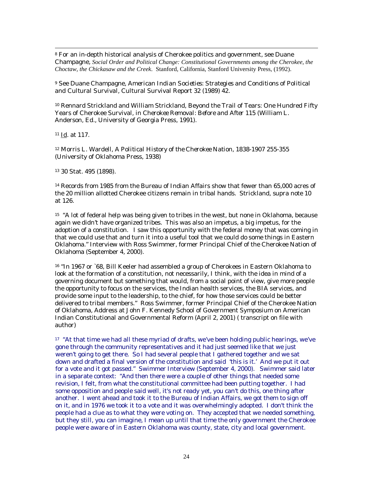8 For an in-depth historical analysis of Cherokee politics and government, see Duane Champagne, *Social Order and Political Change: Constitutional Governments among the Cherokee, the Choctaw, the Chickasaw and the Creek*. Stanford, California, Stanford University Press, (1992).

9 See Duane Champagne, *American Indian Societies: Strategies and Conditions of Political and Cultural Survival,* Cultural Survival Report 32 (1989) 42.

10 Rennard Strickland and William Strickland, Beyond the Trail of Tears: One Hundred Fifty Years of Cherokee Survival, in *Cherokee Removal: Before and After* 115 (William L. Anderson, Ed., University of Georgia Press, 1991).

11 Id. at 117.

 $\overline{a}$ 

12 Morris L. Wardell, *A Political History of the Cherokee Nation, 1838-1907* 255-355 (University of Oklahoma Press, 1938)

13 30 Stat. 495 (1898).

14 Records from 1985 from the Bureau of Indian Affairs show that fewer than 65,000 acres of the 20 million allotted Cherokee citizens remain in tribal hands. Strickland, *supra* note 10 at 126.

15 "A lot of federal help was being given to tribes in the west, but none in Oklahoma, because again we didn't have organized tribes. This was also an impetus, a big impetus, for the adoption of a constitution. I saw this opportunity with the federal money that was coming in that we could use that and turn it into a useful tool that we could do some things in Eastern Oklahoma." Interview with Ross Swimmer, former Principal Chief of the Cherokee Nation of Oklahoma (September 4, 2000).

<sup>16</sup> "In 1967 or `68, Bill Keeler had assembled a group of Cherokees in Eastern Oklahoma to look at the formation of a constitution, not necessarily, I think, with the idea in mind of a governing document but something that would, from a social point of view, give more people the opportunity to focus on the services, the Indian health services, the BIA services, and provide some input to the leadership, to the chief, for how those services could be better delivered to tribal members." Ross Swimmer, former Principal Chief of the Cherokee Nation of Oklahoma, Address at John F. Kennedy School of Government Symposium on American Indian Constitutional and Governmental Reform (April 2, 2001) ( transcript on file with author)

17 "At that time we had all these myriad of drafts, we've been holding public hearings, we've gone through the community representatives and it had just seemed like that we just weren't going to get there. So I had several people that I gathered together and we sat down and drafted a final version of the constitution and said 'this is it.' And we put it out for a vote and it got passed." Swimmer Interview (September 4, 2000). Swimmer said later in a separate context: "And then there were a couple of other things that needed some revision, I felt, from what the constitutional committee had been putting together. I had some opposition and people said well, it's not ready yet, you can't do this, one thing after another. I went ahead and took it to the Bureau of Indian Affairs, we got them to sign off on it, and in 1976 we took it to a vote and it was overwhelmingly adopted. I don't think the people had a clue as to what they were voting on. They accepted that we needed something, but they still, you can imagine, I mean up until that time the only government the Cherokee people were aware of in Eastern Oklahoma was county, state, city and local government.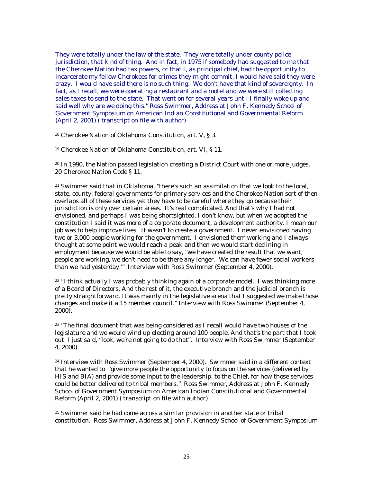They were totally under the law of the state. They were totally under county police jurisdiction, that kind of thing. And in fact, in 1975 if somebody had suggested to me that the Cherokee Nation had tax powers, or that I, as principal chief, had the opportunity to incarcerate my fellow Cherokees for crimes they might commit, I would have said they were crazy. I would have said there is no such thing. We don't have that kind of sovereignty. In fact, as I recall, we were operating a restaurant and a motel and we were still collecting sales taxes to send to the state. That went on for several years until I finally woke up and said well why are we doing this." Ross Swimmer, Address at John F. Kennedy School of Government Symposium on American Indian Constitutional and Governmental Reform (April 2, 2001) ( transcript on file with author)

18 Cherokee Nation of Oklahoma Constitution, art. V, § 3.

 $\overline{a}$ 

19 Cherokee Nation of Oklahoma Constitution, art. VI, § 11.

 $20$  In 1990, the Nation passed legislation creating a District Court with one or more judges. 20 Cherokee Nation Code § 11.

21 Swimmer said that in Oklahoma, "there's such an assimilation that we look to the local, state, county, federal governments for primary services and the Cherokee Nation sort of then overlaps all of these services yet they have to be careful where they go because their jurisdiction is only over certain areas. It's real complicated. And that's why I had not envisioned, and perhaps I was being shortsighted, I don't know, but when we adopted the constitution I said it was more of a corporate document, a development authority. I mean our job was to help improve lives. It wasn't to create a government. I never envisioned having two or 3,000 people working for the government. I envisioned them working and I always thought at some point we would reach a peak and then we would start declining in employment because we would be able to say, "we have created the result that we want, people are working, we don't need to be there any longer. We can have fewer social workers than we had yesterday.'" Interview with Ross Swimmer (September 4, 2000).

<sup>22</sup> "I think actually I was probably thinking again of a corporate model. I was thinking more of a Board of Directors. And the rest of it, the executive branch and the judicial branch is pretty straightforward. It was mainly in the legislative arena that I suggested we make those changes and make it a 15 member council." Interview with Ross Swimmer (September 4, 2000).

 $23$  "The final document that was being considered as I recall would have two houses of the legislature and we would wind up electing around 100 people. And that's the part that I took out. I just said, "look, we're not going to do that". Interview with Ross Swimmer (September 4, 2000).

24 Interview with Ross Swimmer (September 4, 2000). Swimmer said in a different context that he wanted to "give more people the opportunity to focus on the services (delivered by HIS and BIA) and provide some input to the leadership, to the Chief, for how those services could be better delivered to tribal members." Ross Swimmer, Address at John F. Kennedy School of Government Symposium on American Indian Constitutional and Governmental Reform (April 2, 2001) ( transcript on file with author)

25 Swimmer said he had come across a similar provision in another state or tribal constitution. Ross Swimmer, Address at John F. Kennedy School of Government Symposium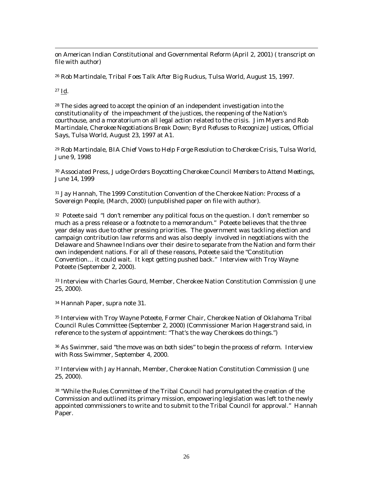on American Indian Constitutional and Governmental Reform (April 2, 2001) ( transcript on file with author)

26 Rob Martindale, *Tribal Foes Talk After Big Ruckus*, Tulsa World, August 15, 1997.

27 Id.

 $\overline{a}$ 

28 The sides agreed to accept the opinion of an independent investigation into the constitutionality of the impeachment of the justices, the reopening of the Nation's courthouse, and a moratorium on all legal action related to the crisis. Jim Myers and Rob Martindale, *Cherokee Negotiations Break Down; Byrd Refuses to Recognize Justices, Official Says*, Tulsa World, August 23, 1997 at A1.

29 Rob Martindale, *BIA Chief Vows to Help Forge Resolution to Cherokee Crisis*, Tulsa World, June 9, 1998

30 Associated Press, *Judge Orders Boycotting Cherokee Council Members to Attend Meetings*, June 14, 1999

31 Jay Hannah, The 1999 Constitution Convention of the Cherokee Nation: Process of a Sovereign People, (March, 2000) (unpublished paper on file with author).

32 Poteete said "I don't remember any political focus on the question. I don't remember so much as a press release or a footnote to a memorandum." Poteete believes that the three year delay was due to other pressing priorities. The government was tackling election and campaign contribution law reforms and was also deeply involved in negotiations with the Delaware and Shawnee Indians over their desire to separate from the Nation and form their own independent nations. For all of these reasons, Poteete said the "Constitution Convention… it could wait. It kept getting pushed back." Interview with Troy Wayne Poteete (September 2, 2000).

33 Interview with Charles Gourd, Member, Cherokee Nation Constitution Commission (June 25, 2000).

34 Hannah Paper, *supra* note 31.

35 Interview with Troy Wayne Poteete, Former Chair, Cherokee Nation of Oklahoma Tribal Council Rules Committee (September 2, 2000) (Commissioner Marion Hagerstrand said, in reference to the system of appointment: "That's the way Cherokees do things.")

36 As Swimmer, said "the move was on both sides" to begin the process of reform. Interview with Ross Swimmer, September 4, 2000.

37 Interview with Jay Hannah, Member, Cherokee Nation Constitution Commission (June 25, 2000).

<sup>38</sup> "While the Rules Committee of the Tribal Council had promulgated the creation of the Commission and outlined its primary mission, empowering legislation was left to the newly appointed commissioners to write and to submit to the Tribal Council for approval." Hannah Paper.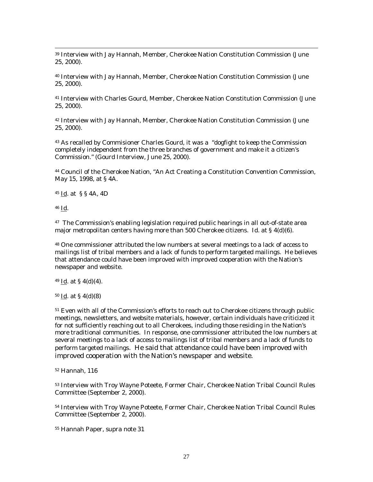39 Interview with Jay Hannah, Member, Cherokee Nation Constitution Commission (June 25, 2000).

40 Interview with Jay Hannah, Member, Cherokee Nation Constitution Commission (June 25, 2000).

41 Interview with Charles Gourd, Member, Cherokee Nation Constitution Commission (June 25, 2000).

42 Interview with Jay Hannah, Member, Cherokee Nation Constitution Commission (June 25, 2000).

43 As recalled by Commisioner Charles Gourd, it was a "dogfight to keep the Commission completely independent from the three branches of government and make it a citizen's Commission." (Gourd Interview, June 25, 2000).

44 Council of the Cherokee Nation, "An Act Creating a Constitution Convention Commission, May 15, 1998, at § 4A.

45 Id. at § § 4A, 4D

46 Id.

 $\overline{a}$ 

47 The Commission's enabling legislation required public hearings in all out-of-state area major metropolitan centers having more than 500 Cherokee citizens. Id. at  $\S 4(d)(6)$ .

48 One commissioner attributed the low numbers at several meetings to a lack of access to mailings list of tribal members and a lack of funds to perform targeted mailings. He believes that attendance could have been improved with improved cooperation with the Nation's newspaper and website.

 $49$  Id. at § 4(d)(4).

50 Id. at § 4(d)(8)

<sup>51</sup> Even with all of the Commission's efforts to reach out to Cherokee citizens through public meetings, newsletters, and website materials, however, certain individuals have criticized it for not sufficiently reaching out to all Cherokees, including those residing in the Nation's more traditional communities. In response, one commissioner attributed the low numbers at several meetings to a lack of access to mailings list of tribal members and a lack of funds to perform targeted mailings. He said that attendance could have been improved with improved cooperation with the Nation's newspaper and website.

52 Hannah, 116

53 Interview with Troy Wayne Poteete, Former Chair, Cherokee Nation Tribal Council Rules Committee (September 2, 2000).

54 Interview with Troy Wayne Poteete, Former Chair, Cherokee Nation Tribal Council Rules Committee (September 2, 2000).

55 Hannah Paper, *supra* note 31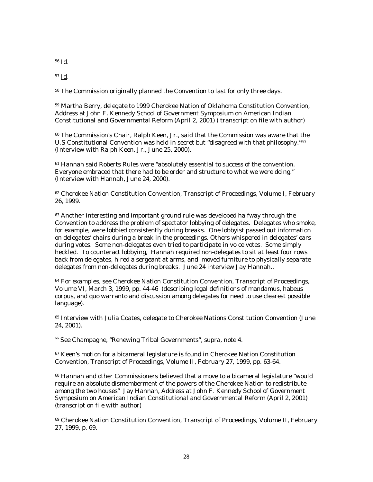56 Id.

 $\overline{a}$ 

57 Id.

58 The Commission originally planned the Convention to last for only three days.

59 Martha Berry, delegate to 1999 Cherokee Nation of Oklahoma Constitution Convention, Address at John F. Kennedy School of Government Symposium on American Indian Constitutional and Governmental Reform (April 2, 2001) ( transcript on file with author)

 $60$  The Commission's Chair, Ralph Keen, Jr., said that the Commission was aware that the U.S Constitutional Convention was held in secret but "disagreed with that philosophy."60 (Interview with Ralph Keen, Jr., June 25, 2000).

61 Hannah said Roberts Rules were "absolutely essential to success of the convention. Everyone embraced that there had to be order and structure to what we were doing." (Interview with Hannah, June 24, 2000).

<sup>62</sup> Cherokee Nation Constitution Convention, Transcript of Proceedings, Volume I, February 26, 1999.

63 Another interesting and important ground rule was developed halfway through the Convention to address the problem of spectator lobbying of delegates. Delegates who smoke, for example, were lobbied consistently during breaks. One lobbyist passed out information on delegates' chairs during a break in the proceedings. Others whispered in delegates' ears during votes. Some non-delegates even tried to participate in voice votes. Some simply heckled. To counteract lobbying, Hannah required non-delegates to sit at least four rows back from delegates, hired a sergeant at arms, and moved furniture to physically separate delegates from non-delegates during breaks. June 24 interview Jay Hannah..

 $64$  For examples, see Cherokee Nation Constitution Convention, Transcript of Proceedings, Volume VI, March 3, 1999, pp. 44-46 (describing legal definitions of mandamus, habeus corpus, and quo warranto and discussion among delegates for need to use clearest possible language).

<sup>65</sup> Interview with Julia Coates, delegate to Cherokee Nations Constitution Convention (June 24, 2001).

<sup>66</sup> See Champagne, "Renewing Tribal Governments", *supra*, note 4.

<sup>67</sup> Keen's motion for a bicameral legislature is found in Cherokee Nation Constitution Convention, Transcript of Proceedings, Volume II, February 27, 1999, pp. 63-64.

68 Hannah and other Commissioners believed that a move to a bicameral legislature "would require an absolute dismemberment of the powers of the Cherokee Nation to redistribute among the two houses" Jay Hannah, Address at John F. Kennedy School of Government Symposium on American Indian Constitutional and Governmental Reform (April 2, 2001) (transcript on file with author)

69 Cherokee Nation Constitution Convention, Transcript of Proceedings, Volume II, February 27, 1999, p. 69.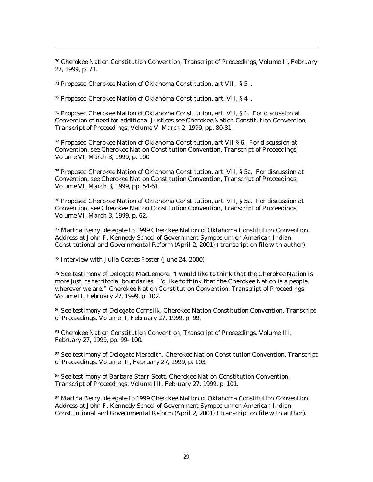70 Cherokee Nation Constitution Convention, Transcript of Proceedings, Volume II, February 27, 1999, p. 71.

71 Proposed Cherokee Nation of Oklahoma Constitution, art VII, § 5 .

 $\overline{a}$ 

72 Proposed Cherokee Nation of Oklahoma Constitution, art. VII, § 4 .

73 Proposed Cherokee Nation of Oklahoma Constitution, art. VII, § 1. For discussion at Convention of need for additional Justices see Cherokee Nation Constitution Convention, Transcript of Proceedings, Volume V, March 2, 1999, pp. 80-81.

74 Proposed Cherokee Nation of Oklahoma Constitution, art VII § 6. For discussion at Convention, see Cherokee Nation Constitution Convention, Transcript of Proceedings, Volume VI, March 3, 1999, p. 100.

75 Proposed Cherokee Nation of Oklahoma Constitution, art. VII, § 5a. For discussion at Convention, see Cherokee Nation Constitution Convention, Transcript of Proceedings, Volume VI, March 3, 1999, pp. 54-61.

76 Proposed Cherokee Nation of Oklahoma Constitution, art. VII, § 5a. For discussion at Convention, see Cherokee Nation Constitution Convention, Transcript of Proceedings, Volume VI, March 3, 1999, p. 62.

77 Martha Berry, delegate to 1999 Cherokee Nation of Oklahoma Constitution Convention, Address at John F. Kennedy School of Government Symposium on American Indian Constitutional and Governmental Reform (April 2, 2001) ( transcript on file with author)

78 Interview with Julia Coates Foster (June 24, 2000)

79 See testimony of Delegate MacLemore: "I would like to think that the Cherokee Nation is more just its territorial boundaries. I'd like to think that the Cherokee Nation is a people, wherever we are." Cherokee Nation Constitution Convention, Transcript of Proceedings, Volume II, February 27, 1999, p. 102.

80 See testimony of Delegate Cornsilk, Cherokee Nation Constitution Convention, Transcript of Proceedings, Volume II, February 27, 1999, p. 99.

81 Cherokee Nation Constitution Convention, Transcript of Proceedings, Volume III, February 27, 1999, pp. 99- 100.

82 See testimony of Delegate Meredith, Cherokee Nation Constitution Convention, Transcript of Proceedings, Volume III, February 27, 1999, p. 103.

83 See testimony of Barbara Starr-Scott, Cherokee Nation Constitution Convention, Transcript of Proceedings, Volume III, February 27, 1999, p. 101.

84 Martha Berry, delegate to 1999 Cherokee Nation of Oklahoma Constitution Convention, Address at John F. Kennedy School of Government Symposium on American Indian Constitutional and Governmental Reform (April 2, 2001) ( transcript on file with author).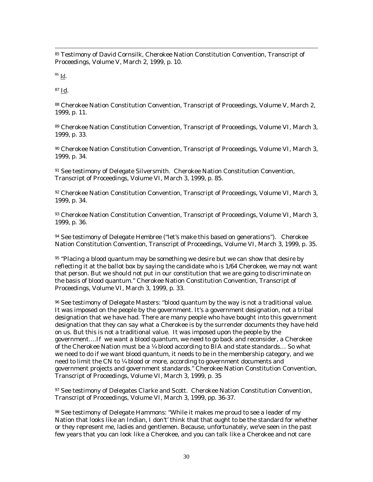85 Testimony of David Cornsilk, Cherokee Nation Constitution Convention, Transcript of Proceedings, Volume V, March 2, 1999, p. 10.

 $86$  Id.

 $\overline{a}$ 

87 Id.

88 Cherokee Nation Constitution Convention, Transcript of Proceedings, Volume V, March 2, 1999, p. 11.

89 Cherokee Nation Constitution Convention, Transcript of Proceedings, Volume VI, March 3, 1999, p. 33.

90 Cherokee Nation Constitution Convention, Transcript of Proceedings, Volume VI, March 3, 1999, p. 34.

91 See testimony of Delegate Silversmith. Cherokee Nation Constitution Convention, Transcript of Proceedings, Volume VI, March 3, 1999, p. 85.

92 Cherokee Nation Constitution Convention, Transcript of Proceedings, Volume VI, March 3, 1999, p. 34.

93 Cherokee Nation Constitution Convention, Transcript of Proceedings, Volume VI, March 3, 1999, p. 36.

94 See testimony of Delegate Hembree ("let's make this based on generations"). Cherokee Nation Constitution Convention, Transcript of Proceedings, Volume VI, March 3, 1999, p. 35.

 $95$  "Placing a blood quantum may be something we desire but we can show that desire by reflecting it at the ballot box by saying the candidate who is 1/64 Cherokee, we may not want that person. But we should not put in our constitution that we are going to discriminate on the basis of blood quantum." Cherokee Nation Constitution Convention, Transcript of Proceedings, Volume VI, March 3, 1999, p. 33.

96 See testimony of Delegate Masters: "blood quantum by the way is not a traditional value. It was imposed on the people by the government. It's a government designation, not a tribal designation that we have had. There are many people who have bought into this government designation that they can say what a Cherokee is by the surrender documents they have held on us. But this is not a traditional value. It was imposed upon the people by the government….If we want a blood quantum, we need to go back and reconsider, a Cherokee of the Cherokee Nation must be a  $\frac{1}{4}$  blood according to BIA and state standards... So what we need to do if we want blood quantum, it needs to be in the membership category, and we need to limit the CN to ¼ blood or more, according to government documents and government projects and government standards." Cherokee Nation Constitution Convention, Transcript of Proceedings, Volume VI, March 3, 1999, p. 35

97 See testimony of Delegates Clarke and Scott. Cherokee Nation Constitution Convention, Transcript of Proceedings, Volume VI, March 3, 1999, pp. 36-37.

98 See testimony of Delegate Hammons: "While it makes me proud to see a leader of my Nation that looks like an Indian, I don't' think that that ought to be the standard for whether or they represent me, ladies and gentlemen. Because, unfortunately, we've seen in the past few years that you can look like a Cherokee, and you can talk like a Cherokee and not care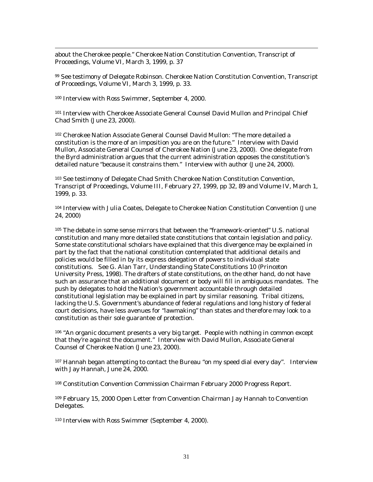about the Cherokee people." Cherokee Nation Constitution Convention, Transcript of Proceedings, Volume VI, March 3, 1999, p. 37

99 See testimony of Delegate Robinson. Cherokee Nation Constitution Convention, Transcript of Proceedings, Volume VI, March 3, 1999, p. 33.

100 Interview with Ross Swimmer, September 4, 2000.

 $\overline{a}$ 

101 Interview with Cherokee Associate General Counsel David Mullon and Principal Chief Chad Smith (June 23, 2000).

102 Cherokee Nation Associate General Counsel David Mullon: "The more detailed a constitution is the more of an imposition you are on the future." Interview with David Mullon, Associate General Counsel of Cherokee Nation (June 23, 2000). One delegate from the Byrd administration argues that the current administration opposes the constitution's detailed nature "because it constrains them." Interview with author (June 24, 2000).

103 See testimony of Delegate Chad Smith Cherokee Nation Constitution Convention, Transcript of Proceedings, Volume III, February 27, 1999, pp 32, 89 and Volume IV, March 1, 1999, p. 33.

104 Interview with Julia Coates, Delegate to Cherokee Nation Constitution Convention (June 24, 2000)

105 The debate in some sense mirrors that between the "framework-oriented" U.S. national constitution and many more detailed state constitutions that contain legislation and policy. Some state constitutional scholars have explained that this divergence may be explained in part by the fact that the national constitution contemplated that additional details and policies would be filled in by its express delegation of powers to individual state constitutions. See G. Alan Tarr, *Understanding State Constitutions* 10 (Princeton University Press, 1998). The drafters of state constitutions, on the other hand, do not have such an assurance that an additional document or body will fill in ambiguous mandates. The push by delegates to hold the Nation's government accountable through detailed constitutional legislation may be explained in part by similar reasoning. Tribal citizens, lacking the U.S. Government's abundance of federal regulations and long history of federal court decisions, have less avenues for "lawmaking" than states and therefore may look to a constitution as their sole guarantee of protection.

<sup>106</sup> "An organic document presents a very big target. People with nothing in common except that they're against the document." Interview with David Mullon, Associate General Counsel of Cherokee Nation (June 23, 2000).

107 Hannah began attempting to contact the Bureau "on my speed dial every day". Interview with Jay Hannah, June 24, 2000.

108 Constitution Convention Commission Chairman February 2000 Progress Report.

109 February 15, 2000 Open Letter from Convention Chairman Jay Hannah to Convention Delegates.

110 Interview with Ross Swimmer (September 4, 2000).